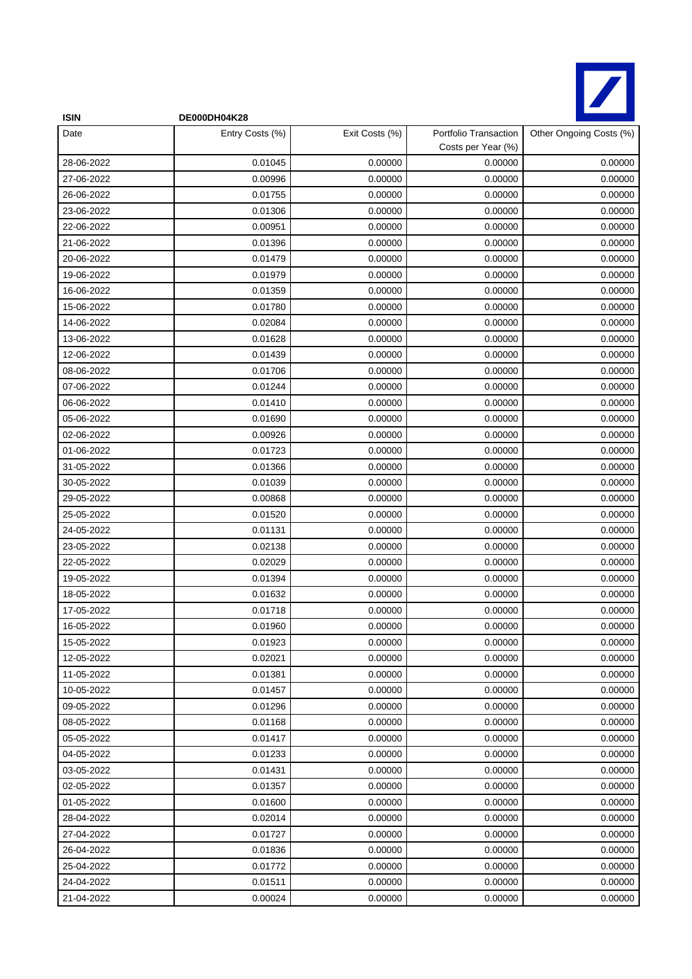

| <b>ISIN</b> | DE000DH04K28    |                |                                             |                         |
|-------------|-----------------|----------------|---------------------------------------------|-------------------------|
| Date        | Entry Costs (%) | Exit Costs (%) | Portfolio Transaction<br>Costs per Year (%) | Other Ongoing Costs (%) |
| 28-06-2022  | 0.01045         | 0.00000        | 0.00000                                     | 0.00000                 |
| 27-06-2022  | 0.00996         | 0.00000        | 0.00000                                     | 0.00000                 |
| 26-06-2022  | 0.01755         | 0.00000        | 0.00000                                     | 0.00000                 |
| 23-06-2022  | 0.01306         | 0.00000        | 0.00000                                     | 0.00000                 |
| 22-06-2022  | 0.00951         | 0.00000        | 0.00000                                     | 0.00000                 |
| 21-06-2022  | 0.01396         | 0.00000        | 0.00000                                     | 0.00000                 |
| 20-06-2022  | 0.01479         | 0.00000        | 0.00000                                     | 0.00000                 |
| 19-06-2022  | 0.01979         | 0.00000        | 0.00000                                     | 0.00000                 |
| 16-06-2022  | 0.01359         | 0.00000        | 0.00000                                     | 0.00000                 |
| 15-06-2022  | 0.01780         | 0.00000        | 0.00000                                     | 0.00000                 |
| 14-06-2022  | 0.02084         | 0.00000        | 0.00000                                     | 0.00000                 |
| 13-06-2022  | 0.01628         | 0.00000        | 0.00000                                     | 0.00000                 |
| 12-06-2022  | 0.01439         | 0.00000        | 0.00000                                     | 0.00000                 |
| 08-06-2022  | 0.01706         | 0.00000        | 0.00000                                     | 0.00000                 |
| 07-06-2022  | 0.01244         | 0.00000        | 0.00000                                     | 0.00000                 |
| 06-06-2022  | 0.01410         | 0.00000        | 0.00000                                     | 0.00000                 |
| 05-06-2022  | 0.01690         | 0.00000        | 0.00000                                     | 0.00000                 |
| 02-06-2022  | 0.00926         | 0.00000        | 0.00000                                     | 0.00000                 |
| 01-06-2022  | 0.01723         | 0.00000        | 0.00000                                     | 0.00000                 |
| 31-05-2022  | 0.01366         | 0.00000        | 0.00000                                     | 0.00000                 |
| 30-05-2022  | 0.01039         | 0.00000        | 0.00000                                     | 0.00000                 |
| 29-05-2022  | 0.00868         | 0.00000        | 0.00000                                     | 0.00000                 |
| 25-05-2022  | 0.01520         | 0.00000        | 0.00000                                     | 0.00000                 |
| 24-05-2022  | 0.01131         | 0.00000        | 0.00000                                     | 0.00000                 |
| 23-05-2022  | 0.02138         | 0.00000        | 0.00000                                     | 0.00000                 |
| 22-05-2022  | 0.02029         | 0.00000        | 0.00000                                     | 0.00000                 |
| 19-05-2022  | 0.01394         | 0.00000        | 0.00000                                     | 0.00000                 |
| 18-05-2022  | 0.01632         | 0.00000        | 0.00000                                     | 0.00000                 |
| 17-05-2022  | 0.01718         | 0.00000        | 0.00000                                     | 0.00000                 |
| 16-05-2022  | 0.01960         | 0.00000        | 0.00000                                     | 0.00000                 |
| 15-05-2022  | 0.01923         | 0.00000        | 0.00000                                     | 0.00000                 |
| 12-05-2022  | 0.02021         | 0.00000        | 0.00000                                     | 0.00000                 |
| 11-05-2022  | 0.01381         | 0.00000        | 0.00000                                     | 0.00000                 |
| 10-05-2022  | 0.01457         | 0.00000        | 0.00000                                     | 0.00000                 |
| 09-05-2022  | 0.01296         | 0.00000        | 0.00000                                     | 0.00000                 |
| 08-05-2022  | 0.01168         | 0.00000        | 0.00000                                     | 0.00000                 |
| 05-05-2022  | 0.01417         | 0.00000        | 0.00000                                     | 0.00000                 |
| 04-05-2022  | 0.01233         | 0.00000        | 0.00000                                     | 0.00000                 |
| 03-05-2022  | 0.01431         | 0.00000        | 0.00000                                     | 0.00000                 |
| 02-05-2022  | 0.01357         | 0.00000        | 0.00000                                     | 0.00000                 |
| 01-05-2022  | 0.01600         | 0.00000        | 0.00000                                     | 0.00000                 |
| 28-04-2022  | 0.02014         | 0.00000        | 0.00000                                     | 0.00000                 |
| 27-04-2022  | 0.01727         | 0.00000        | 0.00000                                     | 0.00000                 |
| 26-04-2022  | 0.01836         | 0.00000        | 0.00000                                     | 0.00000                 |
| 25-04-2022  | 0.01772         | 0.00000        | 0.00000                                     | 0.00000                 |
| 24-04-2022  | 0.01511         | 0.00000        | 0.00000                                     | 0.00000                 |
| 21-04-2022  | 0.00024         | 0.00000        | 0.00000                                     | 0.00000                 |